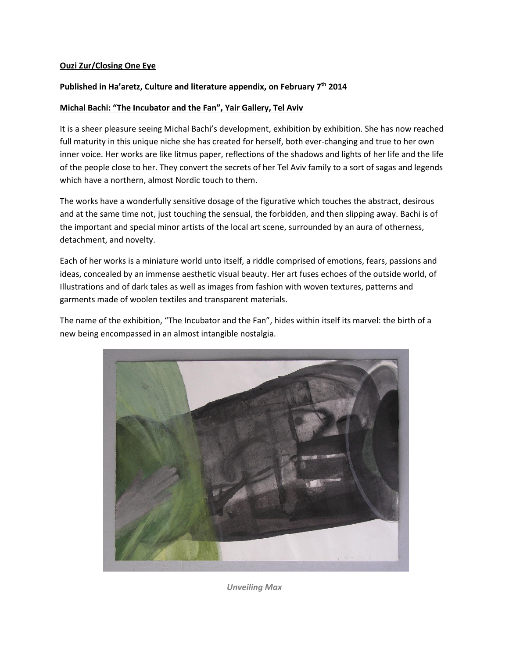## **Ouzi Zur/Closing One Eye**

## **Published in Ha'aretz, Culture and literature appendix, on February 7th 2014**

## **Michal Bachi: "The Incubator and the Fan", Yair Gallery, Tel Aviv**

It is a sheer pleasure seeing Michal Bachi's development, exhibition by exhibition. She has now reached full maturity in this unique niche she has created for herself, both ever-changing and true to her own inner voice. Her works are like litmus paper, reflections of the shadows and lights of her life and the life of the people close to her. They convert the secrets of her Tel Aviv family to a sort of sagas and legends which have a northern, almost Nordic touch to them.

The works have a wonderfully sensitive dosage of the figurative which touches the abstract, desirous and at the same time not, just touching the sensual, the forbidden, and then slipping away. Bachi is of the important and special minor artists of the local art scene, surrounded by an aura of otherness, detachment, and novelty.

Each of her works is a miniature world unto itself, a riddle comprised of emotions, fears, passions and ideas, concealed by an immense aesthetic visual beauty. Her art fuses echoes of the outside world, of Illustrations and of dark tales as well as images from fashion with woven textures, patterns and garments made of woolen textiles and transparent materials.

The name of the exhibition, "The Incubator and the Fan", hides within itself its marvel: the birth of a new being encompassed in an almost intangible nostalgia.



*Unveiling Max*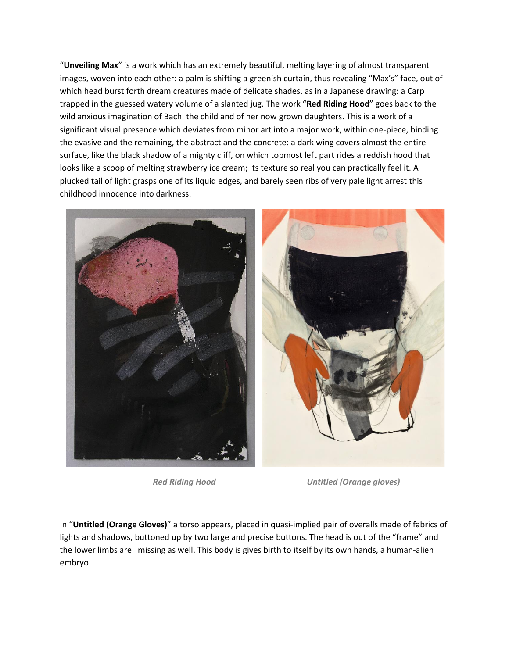"**Unveiling Max**" is a work which has an extremely beautiful, melting layering of almost transparent images, woven into each other: a palm is shifting a greenish curtain, thus revealing "Max's" face, out of which head burst forth dream creatures made of delicate shades, as in a Japanese drawing: a Carp trapped in the guessed watery volume of a slanted jug. The work "**Red Riding Hood**" goes back to the wild anxious imagination of Bachi the child and of her now grown daughters. This is a work of a significant visual presence which deviates from minor art into a major work, within one-piece, binding the evasive and the remaining, the abstract and the concrete: a dark wing covers almost the entire surface, like the black shadow of a mighty cliff, on which topmost left part rides a reddish hood that looks like a scoop of melting strawberry ice cream; Its texture so real you can practically feel it. A plucked tail of light grasps one of its liquid edges, and barely seen ribs of very pale light arrest this childhood innocence into darkness.



 *Red Riding Hood Untitled (Orange gloves)*

In "**Untitled (Orange Gloves)**" a torso appears, placed in quasi-implied pair of overalls made of fabrics of lights and shadows, buttoned up by two large and precise buttons. The head is out of the "frame" and the lower limbs are missing as well. This body is gives birth to itself by its own hands, a human-alien embryo.